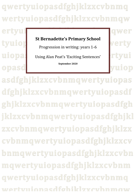## qwertyuiopasdfghjklzxcvbnmq wertyuiopasdfghjklzxcvbnmqw

ertyui tyuiop uiopa: opasd

## **St Bernadette's Primary School**

Progression in writing: years 1-6

Using Alan Peat's 'Exciting Sentences'

**September 2020**

gwer verty rtyui uiop

asdfghjklzxcvbnmqwertyuiopas dfghjklzxcvbnmqwertyuiopasdf ghjklzxcvbnmqwertyuiopasdfgh jklzxcvbnmqwertyuiopasdfghjkl zxcvbnmqwertyuiopasdfghjklzx cvbnmqwertyuiopasdfghjklzxcv bnmqwertyuiopasdfghjklzxcvbn mqwertyuiopasdfghjklzxcvbnm qwertyuiopasdfghjklzxcvbnmq wertvuionasdføhiklzxcyhnmow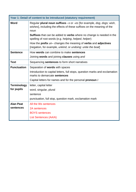| Year 1: Detail of content to be introduced (statutory requirement) |                                                                                                                                                         |  |
|--------------------------------------------------------------------|---------------------------------------------------------------------------------------------------------------------------------------------------------|--|
| Word                                                               | Regular plural noun suffixes -s or -es [for example, dog, dogs; wish,<br>wishes], including the effects of these suffixes on the meaning of the<br>noun |  |
|                                                                    | <b>Suffixes</b> that can be added to <b>verbs</b> where no change is needed in the<br>spelling of root words (e.g. helping, helped, helper)             |  |
|                                                                    | How the prefix un-changes the meaning of verbs and adjectives<br>[negation, for example, unkind, or undoing: untie the boat]                            |  |
| <b>Sentence</b>                                                    | How words can combine to make sentences                                                                                                                 |  |
|                                                                    | Joining words and joining clauses using and                                                                                                             |  |
| <b>Text</b>                                                        | Sequencing sentences to form short narratives                                                                                                           |  |
| <b>Punctuation</b>                                                 | Separation of words with spaces                                                                                                                         |  |
|                                                                    | Introduction to capital letters, full stops, question marks and exclamation<br>marks to demarcate sentences                                             |  |
|                                                                    | Capital letters for names and for the personal pronoun I                                                                                                |  |
| <b>Terminology</b>                                                 | letter, capital letter                                                                                                                                  |  |
| for pupils                                                         | word, singular, plural                                                                                                                                  |  |
|                                                                    | sentence                                                                                                                                                |  |
|                                                                    | punctuation, full stop, question mark, exclamation mark                                                                                                 |  |
| <b>Alan Peat</b>                                                   | All the Ws sentences                                                                                                                                    |  |
| sentences                                                          | 2A sentences                                                                                                                                            |  |
|                                                                    | <b>BOYS</b> sentences                                                                                                                                   |  |
|                                                                    | <b>List Sentences (AA/A)</b>                                                                                                                            |  |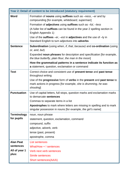| Year 2: Detail of content to be introduced (statutory requirement) |                                                                                                                                                     |  |
|--------------------------------------------------------------------|-----------------------------------------------------------------------------------------------------------------------------------------------------|--|
| Word                                                               | Formation of <b>nouns</b> using suffixes such as $-ness$ , $-er$ and by<br>compounding [for example, whiteboard, superman]                          |  |
|                                                                    | Formation of adjectives using suffixes such as -ful, -less                                                                                          |  |
|                                                                    | (A fuller list of suffixes can be found in the year 2 spelling section in<br>English Appendix 1)                                                    |  |
|                                                                    | Use of the suffixes $-er$ , $-est$ in adjectives and the use of $-ly$ in<br>Standard English to turn adjectives into adverbs                        |  |
| <b>Sentence</b>                                                    | <b>Subordination</b> (using when, if, that, because) and co-ordination (using<br>or, and, but)                                                      |  |
|                                                                    | Expanded noun phrases for description and specification [for example,<br>the blue butterfly, plain flour, the man in the moon]                      |  |
|                                                                    | How the grammatical patterns in a sentence indicate its function as<br>a statement, question, exclamation or command                                |  |
| <b>Text</b>                                                        | Correct choice and consistent use of present tense and past tense<br>throughout writing                                                             |  |
|                                                                    | Use of the progressive form of verbs in the present and past tense to<br>mark actions in progress [for example, she is drumming, he was<br>shouting |  |
| <b>Punctuation</b>                                                 | Use of capital letters, full stops, question marks and exclamation marks<br>to demarcate sentences                                                  |  |
|                                                                    | Commas to separate items in a list                                                                                                                  |  |
|                                                                    | Apostrophes to mark where letters are missing in spelling and to mark<br>singular possession in nouns [for example, the girl's name]                |  |
| <b>Terminology</b>                                                 | noun, noun phrase                                                                                                                                   |  |
| for pupils                                                         | statement, question, exclamation, command                                                                                                           |  |
|                                                                    | compound, suffix                                                                                                                                    |  |
|                                                                    | adjective, adverb, verb                                                                                                                             |  |
|                                                                    | tense (past, present)                                                                                                                               |  |
|                                                                    | apostrophe, comma                                                                                                                                   |  |
| <b>Alan Peat</b>                                                   | <b>List sentences</b>                                                                                                                               |  |
| sentences                                                          | What/How + ! sentences                                                                                                                              |  |
| All of year 1                                                      | Verb next verb sentences                                                                                                                            |  |
| plus:                                                              | Simile sentences                                                                                                                                    |  |
|                                                                    | Short sentences(AA/A)                                                                                                                               |  |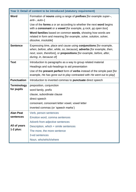| Year 3: Detail of content to be introduced (statutory requirement) |                                                                                                                                                                                                                                                    |  |
|--------------------------------------------------------------------|----------------------------------------------------------------------------------------------------------------------------------------------------------------------------------------------------------------------------------------------------|--|
| Word                                                               | Formation of nouns using a range of prefixes [for example super-,<br>anti-, $auto$ -]                                                                                                                                                              |  |
|                                                                    | Use of the forms a or an according to whether the next word begins<br>with a consonant or a vowel [for example, a rock, an open box]                                                                                                               |  |
|                                                                    | Word families based on common words, showing how words are<br>related in form and meaning [for example, solve, solution, solver,<br>dissolve, insoluble]                                                                                           |  |
| <b>Sentence</b>                                                    | Expressing time, place and cause using <b>conjunctions</b> [for example,<br>when, before, after, while, so, because, adverbs [for example, then,<br>next, soon, therefore], or prepositions [for example, before, after,<br>during, in, because of |  |
| <b>Text</b>                                                        | Introduction to paragraphs as a way to group related material                                                                                                                                                                                      |  |
|                                                                    | Headings and sub-headings to aid presentation                                                                                                                                                                                                      |  |
|                                                                    | Use of the <b>present perfect</b> form of <b>verbs</b> instead of the simple past [for<br>example, He has gone out to play contrasted with He went out to play]                                                                                    |  |
| <b>Punctuation</b>                                                 | Introduction to inverted commas to <b>punctuate</b> direct speech                                                                                                                                                                                  |  |
| <b>Terminology</b>                                                 | preposition, conjunction                                                                                                                                                                                                                           |  |
| for pupils                                                         | word family, prefix                                                                                                                                                                                                                                |  |
|                                                                    | clause, subordinate clause                                                                                                                                                                                                                         |  |
|                                                                    | direct speech                                                                                                                                                                                                                                      |  |
|                                                                    | consonant, consonant letter vowel, vowel letter                                                                                                                                                                                                    |  |
|                                                                    | inverted commas (or 'speech marks')                                                                                                                                                                                                                |  |
| <b>Alan Peat</b><br>sentences                                      | Verb, person sentences                                                                                                                                                                                                                             |  |
|                                                                    | Emotion word, comma sentences                                                                                                                                                                                                                      |  |
|                                                                    | Adverb from adjective sentences                                                                                                                                                                                                                    |  |
| All of years<br>$1-2$ plus:                                        | Description, which + simile sentences                                                                                                                                                                                                              |  |
|                                                                    | The more, the more sentence                                                                                                                                                                                                                        |  |
|                                                                    | 3-ed sentences                                                                                                                                                                                                                                     |  |
|                                                                    | Noun, who/which/where                                                                                                                                                                                                                              |  |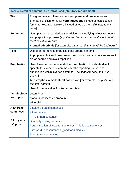| Year 4: Detail of content to be introduced (statutory requirement) |                                                                                                                                                                                                                                                                                                                                                      |  |
|--------------------------------------------------------------------|------------------------------------------------------------------------------------------------------------------------------------------------------------------------------------------------------------------------------------------------------------------------------------------------------------------------------------------------------|--|
| Word                                                               | The grammatical difference between plural and possessive $-s$<br>Standard English forms for verb inflections instead of local spoken<br>forms [for example, we were instead of we was, or I did instead of I<br>done]                                                                                                                                |  |
| <b>Sentence</b>                                                    | Noun phrases expanded by the addition of modifying adjectives, nouns<br>and preposition phrases (e.g. the teacher expanded to: the strict maths<br>teacher with curly hair)<br>Fronted adverbials [for example, <i>Later that day</i> , <i>I heard the bad news.</i> ]                                                                               |  |
| <b>Text</b>                                                        | Use of paragraphs to organise ideas around a theme<br>Appropriate choice of pronoun or noun within and across sentences to<br>aid cohesion and avoid repetition                                                                                                                                                                                      |  |
| <b>Punctuation</b>                                                 | Use of inverted commas and other punctuation to indicate direct<br>speech [for example, a comma after the reporting clause; end<br>punctuation within inverted commas: The conductor shouted, "Sit<br>down!"]<br>Apostrophes to mark plural possession [for example, the girl's name,<br>the girls' names]<br>Use of commas after fronted adverbials |  |
| <b>Terminology</b><br>for pupils                                   | determiner<br>pronoun, possessive pronoun<br>adverbial                                                                                                                                                                                                                                                                                               |  |
| <b>Alan Peat</b><br>sentences<br>All of years<br>$1-3$ plus:       | 2 adjective pairs sentences<br>4A sentences<br>If, if, if, then sentence<br>Double ly ending sentences<br>Personification of weather sentences/ This is that sentences<br>First word, last sentences (good for dialogue)                                                                                                                             |  |
|                                                                    | Then & Now sentences                                                                                                                                                                                                                                                                                                                                 |  |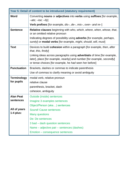| Year 5: Detail of content to be introduced (statutory requirement) |                                                                                                                                                                                                                   |  |  |
|--------------------------------------------------------------------|-------------------------------------------------------------------------------------------------------------------------------------------------------------------------------------------------------------------|--|--|
| Word                                                               | Converting nouns or adjectives into verbs using suffixes [for example,<br>$-\alpha t$ e; $-i$ se; $-i\beta$                                                                                                       |  |  |
|                                                                    | Verb prefixes [for example, dis-, de-, mis-, over- and re-]                                                                                                                                                       |  |  |
| <b>Sentence</b>                                                    | Relative clauses beginning with who, which, where, when, whose, that,                                                                                                                                             |  |  |
|                                                                    | or an omitted relative pronoun                                                                                                                                                                                    |  |  |
|                                                                    | Indicating degrees of possibility using <b>adverbs</b> for example, <i>perhaps</i> ,<br>surely] or modal verbs [for example, might, should, will, must]                                                           |  |  |
| <b>Text</b>                                                        | Devices to build <b>cohesion</b> within a paragraph [for example, <i>then</i> , after<br>that, this, firstly                                                                                                      |  |  |
|                                                                    | Linking ideas across paragraphs using <b>adverbials</b> of time [for example,<br>later], place [for example, nearby] and number [for example, secondly]<br>or tense choices [for example, he had seen her before] |  |  |
| <b>Punctuation</b>                                                 | Brackets, dashes or commas to indicate parenthesis                                                                                                                                                                |  |  |
|                                                                    | Use of commas to clarify meaning or avoid ambiguity                                                                                                                                                               |  |  |
| <b>Terminology</b>                                                 | modal verb, relative pronoun                                                                                                                                                                                      |  |  |
| for pupils                                                         | relative clause                                                                                                                                                                                                   |  |  |
|                                                                    | parenthesis, bracket, dash                                                                                                                                                                                        |  |  |
|                                                                    | cohesion, ambiguity                                                                                                                                                                                               |  |  |
| <b>Alan Peat</b>                                                   | <b>Outside (inside) sentences</b>                                                                                                                                                                                 |  |  |
| sentences                                                          | Imagine 3 examples sentences                                                                                                                                                                                      |  |  |
|                                                                    | Object/Person (aka) sentences                                                                                                                                                                                     |  |  |
| All of years                                                       | <b>Sound! Cause sentences</b>                                                                                                                                                                                     |  |  |
| $1-4$ plus:                                                        | <b>Many questions</b>                                                                                                                                                                                             |  |  |
|                                                                    | De: De sentences                                                                                                                                                                                                  |  |  |
|                                                                    | 3 bad - dash question sentences                                                                                                                                                                                   |  |  |
|                                                                    | Name – adjective pair – sentences (dashes)                                                                                                                                                                        |  |  |
|                                                                    | Emotion - consequence sentences                                                                                                                                                                                   |  |  |